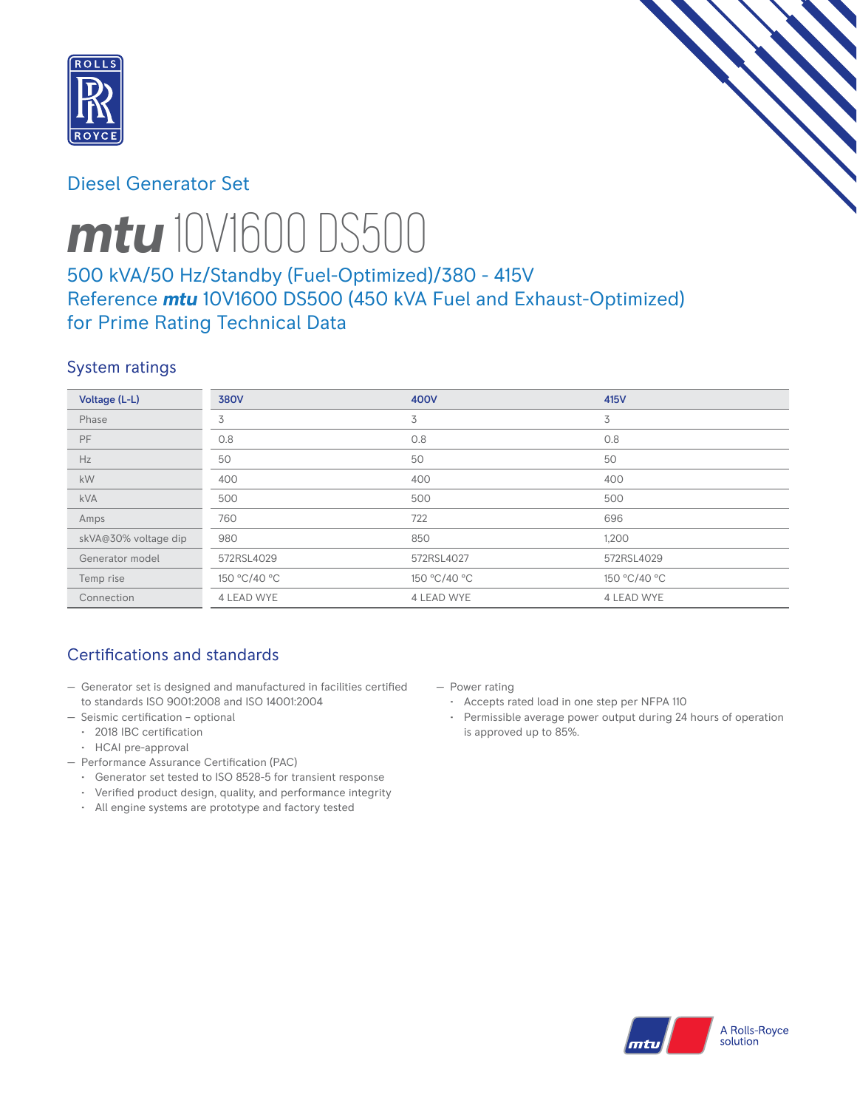

# Diesel Generator Set



# *mtu* 10V1600 DS500

# 500 kVA/50 Hz/Standby (Fuel-Optimized)/380 - 415V Reference *mtu* 10V1600 DS500 (450 kVA Fuel and Exhaust-Optimized) for Prime Rating Technical Data

# System ratings

| Voltage (L-L)        | <b>380V</b>  | 400V              | 415V         |
|----------------------|--------------|-------------------|--------------|
| Phase                | 3            | 3                 | 3            |
| <b>PF</b>            | 0.8          | 0.8               | 0.8          |
| Hz                   | 50           | 50                | 50           |
| kW                   | 400          | 400               | 400          |
| <b>kVA</b>           | 500          | 500               | 500          |
| Amps                 | 760          | 722               | 696          |
| skVA@30% voltage dip | 980          | 850               | 1,200        |
| Generator model      | 572RSL4029   | 572RSL4027        | 572RSL4029   |
| Temp rise            | 150 °C/40 °C | 150 °C/40 °C      | 150 °C/40 °C |
| Connection           | 4 LEAD WYE   | <b>4 LEAD WYE</b> | 4 LEAD WYE   |

# Certifications and standards

- Generator set is designed and manufactured in facilities certified to standards ISO 9001:2008 and ISO 14001:2004
- Seismic certification optional
- 2018 IBC certification
- HCAI pre-approval
- Performance Assurance Certification (PAC)
	- Generator set tested to ISO 8528-5 for transient response
	- Verified product design, quality, and performance integrity
	- All engine systems are prototype and factory tested
- Power rating
	- Accepts rated load in one step per NFPA 110
	- Permissible average power output during 24 hours of operation is approved up to 85%.

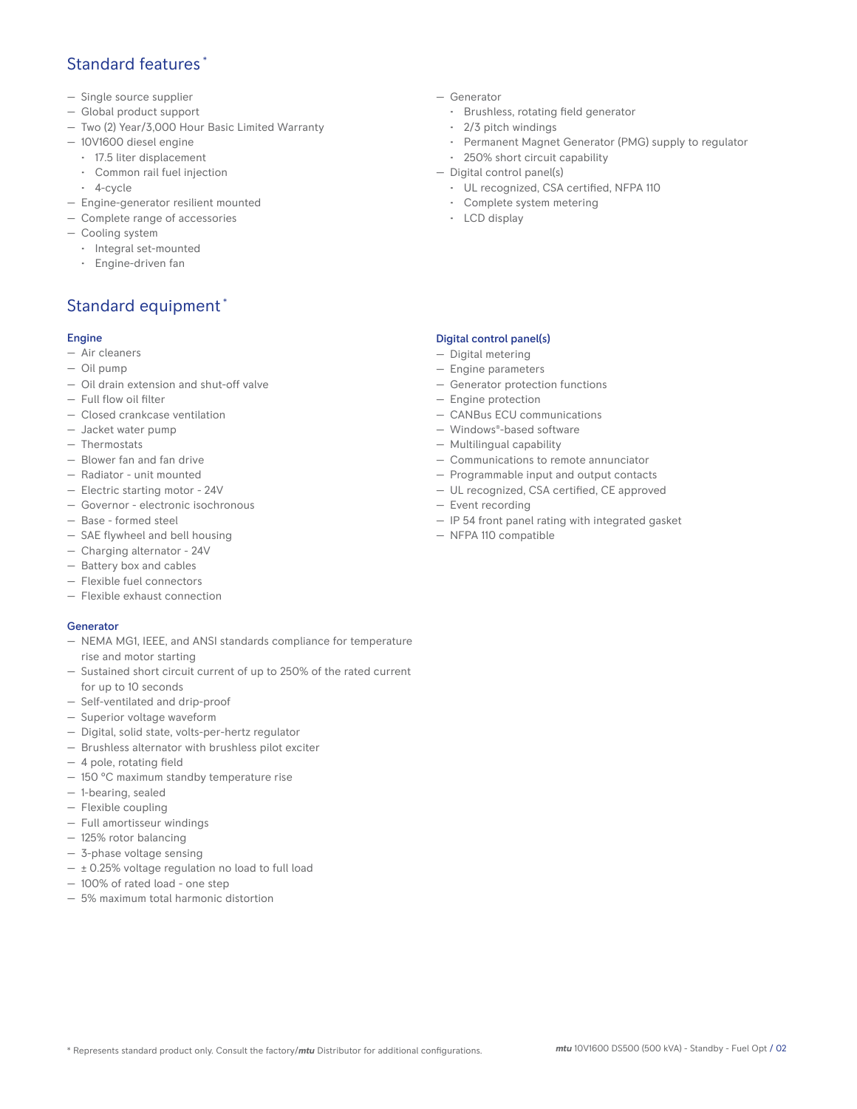## Standard features \*

- Single source supplier
- Global product support
- Two (2) Year/3,000 Hour Basic Limited Warranty
- 10V1600 diesel engine
	- 17.5 liter displacement
	- Common rail fuel injection
	- 4-cycle
- Engine-generator resilient mounted
- Complete range of accessories
- Cooling system
- Integral set-mounted
	- Engine-driven fan

# Standard equipment \*

#### Engine

- Air cleaners
- Oil pump
- Oil drain extension and shut-off valve
- Full flow oil filter
- Closed crankcase ventilation
- Jacket water pump
- Thermostats
- Blower fan and fan drive
- Radiator unit mounted
- Electric starting motor 24V
- Governor electronic isochronous
- Base formed steel
- SAE flywheel and bell housing
- Charging alternator 24V
- Battery box and cables
- Flexible fuel connectors
- Flexible exhaust connection

#### Generator

- NEMA MG1, IEEE, and ANSI standards compliance for temperature rise and motor starting
- Sustained short circuit current of up to 250% of the rated current for up to 10 seconds
- Self-ventilated and drip-proof
- Superior voltage waveform
- Digital, solid state, volts-per-hertz regulator
- Brushless alternator with brushless pilot exciter
- 4 pole, rotating field
- 150 °C maximum standby temperature rise
- 1-bearing, sealed
- Flexible coupling
- Full amortisseur windings
- 125% rotor balancing
- 3-phase voltage sensing
- $\pm$  0.25% voltage regulation no load to full load
- 100% of rated load one step
- 5% maximum total harmonic distortion
- Generator
	- Brushless, rotating field generator
	- 2/3 pitch windings
	- Permanent Magnet Generator (PMG) supply to regulator
- 250% short circuit capability
- Digital control panel(s)
	- UL recognized, CSA certified, NFPA 110
	- Complete system metering
	- LCD display

## Digital control panel(s)

- Digital metering
- Engine parameters
- Generator protection functions
- Engine protection
- CANBus ECU communications
- Windows®-based software
- Multilingual capability
- Communications to remote annunciator
- Programmable input and output contacts
- UL recognized, CSA certified, CE approved
- Event recording
- IP 54 front panel rating with integrated gasket
- NFPA 110 compatible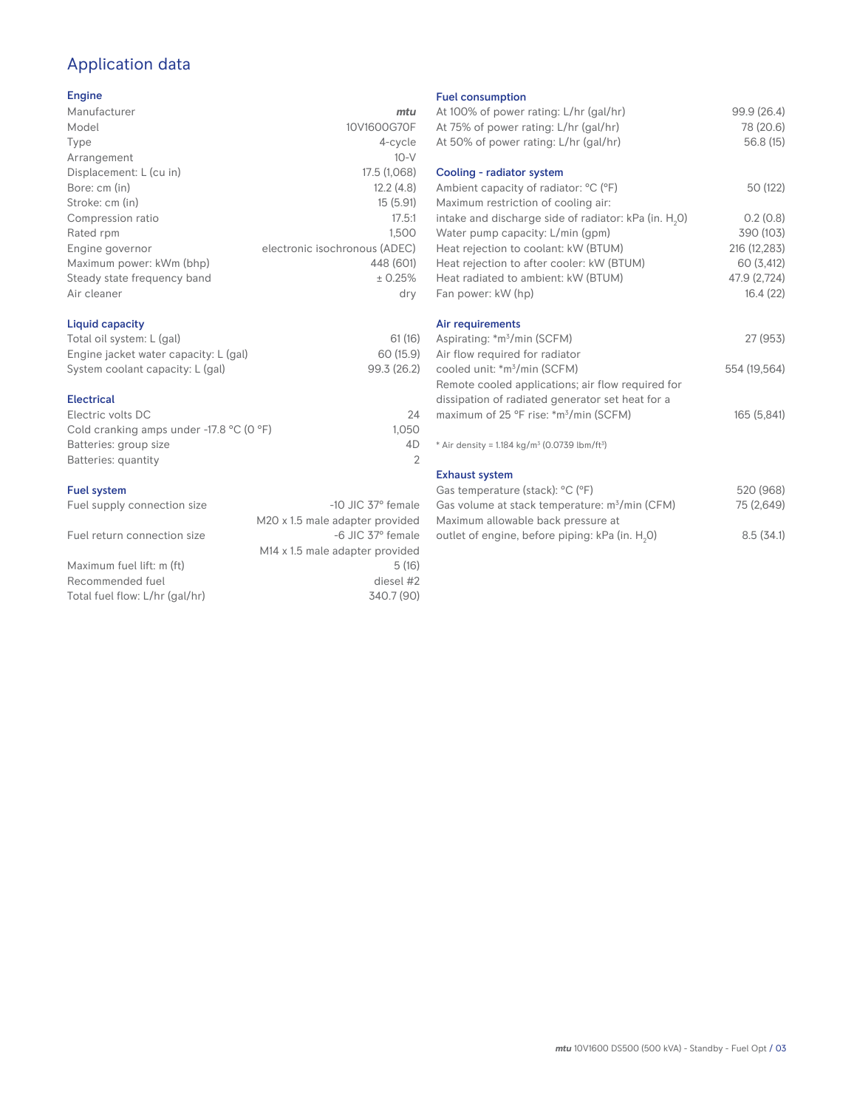# Application data

## Engine

| Manufacturer                | mtu                           |
|-----------------------------|-------------------------------|
| Model                       | 10V1600G70F                   |
| Type                        | 4-cycle                       |
| Arrangement                 | $10-V$                        |
| Displacement: L (cu in)     | 17.5 (1,068)                  |
| Bore: cm (in)               | 12.2(4.8)                     |
| Stroke: cm (in)             | 15(5.91)                      |
| Compression ratio           | 17.5:1                        |
| Rated rpm                   | 1.500                         |
| Engine governor             | electronic isochronous (ADEC) |
| Maximum power: kWm (bhp)    | 448 (601)                     |
| Steady state frequency band | ± 0.25%                       |
| Air cleaner                 | dry                           |
|                             |                               |

## Liquid capacity

| Total oil system: L (gal)             | 61(16)      |  |
|---------------------------------------|-------------|--|
| Engine jacket water capacity: L (gal) | 60 (15.9)   |  |
| System coolant capacity: L (gal)      | 99.3 (26.2) |  |

#### Electrical

| Electric volts DC                                            | 24    |
|--------------------------------------------------------------|-------|
| Cold cranking amps under -17.8 $^{\circ}$ C (O $^{\circ}$ F) | 1.050 |
| Batteries: group size                                        | 4D.   |
| Batteries: quantity                                          |       |
|                                                              |       |

## Fuel system

| Fuel supply connection size    | $-10$ JIC 37 $\degree$ female               |
|--------------------------------|---------------------------------------------|
|                                | M20 x 1.5 male adapter provided             |
| Fuel return connection size    | -6 JIC 37° female                           |
|                                | M <sub>14</sub> x 1.5 male adapter provided |
| Maximum fuel lift: m (ft)      | 5(16)                                       |
| Recommended fuel               | diesel #2                                   |
| Total fuel flow: L/hr (gal/hr) | 340.7 (90)                                  |
|                                |                                             |

#### Fuel consumption

| <b>FUBL CONSUMPTION</b>                                                                          |              |
|--------------------------------------------------------------------------------------------------|--------------|
| At 100% of power rating: L/hr (gal/hr)                                                           | 99.9 (26.4)  |
| At 75% of power rating: L/hr (gal/hr)                                                            | 78 (20.6)    |
| At 50% of power rating: L/hr (gal/hr)                                                            | 56.8(15)     |
|                                                                                                  |              |
| Cooling - radiator system                                                                        |              |
| Ambient capacity of radiator: °C (°F)                                                            | 50 (122)     |
| Maximum restriction of cooling air:                                                              |              |
| intake and discharge side of radiator: kPa (in. H <sub>2</sub> 0)                                | 0.2(0.8)     |
| Water pump capacity: L/min (gpm)                                                                 | 390 (103)    |
| Heat rejection to coolant: kW (BTUM)                                                             | 216 (12,283) |
| Heat rejection to after cooler: kW (BTUM)                                                        | 60 (3,412)   |
| Heat radiated to ambient: kW (BTUM)                                                              | 47.9 (2,724) |
| Fan power: kW (hp)                                                                               | 16.4(22)     |
|                                                                                                  |              |
| Air requirements                                                                                 |              |
| Aspirating: *m <sup>3</sup> /min (SCFM)                                                          | 27 (953)     |
| Air flow required for radiator                                                                   |              |
| cooled unit: *m <sup>3</sup> /min (SCFM)                                                         | 554 (19,564) |
| Remote cooled applications; air flow required for                                                |              |
| dissipation of radiated generator set heat for a                                                 |              |
| maximum of 25 °F rise: *m <sup>3</sup> /min (SCFM)                                               | 165 (5,841)  |
|                                                                                                  |              |
| * Air density = $1.184 \text{ kg/m}^3$ (0.0739 lbm/ft <sup>3</sup> )                             |              |
| <b>Exhaust system</b>                                                                            |              |
|                                                                                                  | 520 (968)    |
| Gas temperature (stack): °C (°F)                                                                 | 75 (2,649)   |
| Gas volume at stack temperature: m <sup>3</sup> /min (CFM)<br>Mayimum allowahle hack pressure at |              |
|                                                                                                  |              |

| $\cup$ as temperature (staen). $\cup$ ( $\top$             | $U - U - U - U - U$ |
|------------------------------------------------------------|---------------------|
| Gas volume at stack temperature: m <sup>3</sup> /min (CFM) | 75 (2,649)          |
| Maximum allowable back pressure at                         |                     |
| outlet of engine, before piping: kPa (in. H.O)             | 8.5(34.1)           |